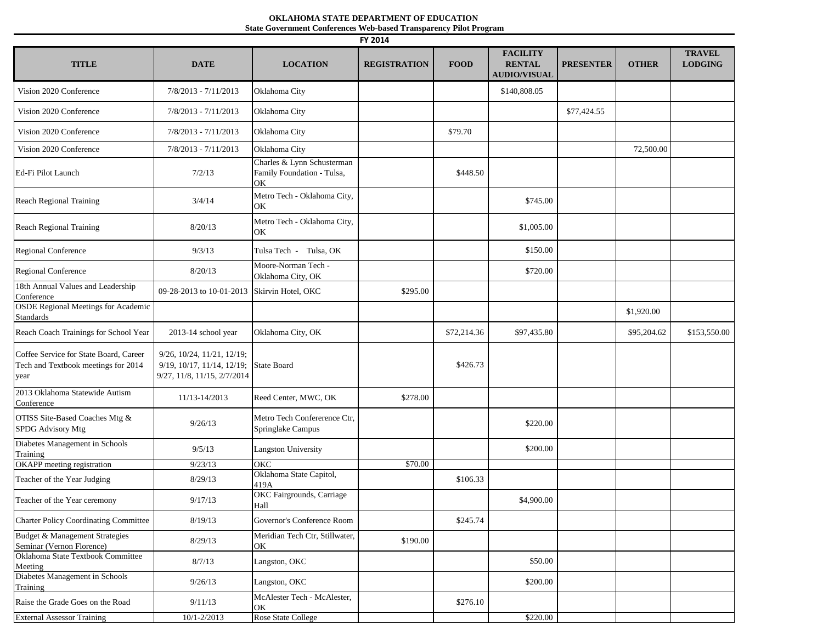## **OKLAHOMA STATE DEPARTMENT OF EDUCATION State Government Conferences Web-based Transparency Pilot Program**

| FY 2014                                                                               |                                                                                         |                                                                |                     |             |                                                         |                  |              |                                 |
|---------------------------------------------------------------------------------------|-----------------------------------------------------------------------------------------|----------------------------------------------------------------|---------------------|-------------|---------------------------------------------------------|------------------|--------------|---------------------------------|
| <b>TITLE</b>                                                                          | <b>DATE</b>                                                                             | <b>LOCATION</b>                                                | <b>REGISTRATION</b> | <b>FOOD</b> | <b>FACILITY</b><br><b>RENTAL</b><br><b>AUDIO/VISUAL</b> | <b>PRESENTER</b> | <b>OTHER</b> | <b>TRAVEL</b><br><b>LODGING</b> |
| Vision 2020 Conference                                                                | $7/8/2013 - 7/11/2013$                                                                  | Oklahoma City                                                  |                     |             | \$140,808.05                                            |                  |              |                                 |
| Vision 2020 Conference                                                                | $7/8/2013 - 7/11/2013$                                                                  | Oklahoma City                                                  |                     |             |                                                         | \$77,424.55      |              |                                 |
| Vision 2020 Conference                                                                | 7/8/2013 - 7/11/2013                                                                    | Oklahoma City                                                  |                     | \$79.70     |                                                         |                  |              |                                 |
| Vision 2020 Conference                                                                | $7/8/2013 - 7/11/2013$                                                                  | Oklahoma City                                                  |                     |             |                                                         |                  | 72,500.00    |                                 |
| Ed-Fi Pilot Launch                                                                    | 7/2/13                                                                                  | Charles & Lynn Schusterman<br>Family Foundation - Tulsa,<br>OK |                     | \$448.50    |                                                         |                  |              |                                 |
| Reach Regional Training                                                               | 3/4/14                                                                                  | Metro Tech - Oklahoma City,<br>OK                              |                     |             | \$745.00                                                |                  |              |                                 |
| Reach Regional Training                                                               | 8/20/13                                                                                 | Metro Tech - Oklahoma City,<br>OK                              |                     |             | \$1,005.00                                              |                  |              |                                 |
| Regional Conference                                                                   | 9/3/13                                                                                  | Tulsa Tech - Tulsa, OK                                         |                     |             | \$150.00                                                |                  |              |                                 |
| <b>Regional Conference</b>                                                            | 8/20/13                                                                                 | Moore-Norman Tech -<br>Oklahoma City, OK                       |                     |             | \$720.00                                                |                  |              |                                 |
| 18th Annual Values and Leadership<br>Conference                                       | 09-28-2013 to 10-01-2013                                                                | Skirvin Hotel, OKC                                             | \$295.00            |             |                                                         |                  |              |                                 |
| <b>OSDE Regional Meetings for Academic</b><br><b>Standards</b>                        |                                                                                         |                                                                |                     |             |                                                         |                  | \$1,920.00   |                                 |
| Reach Coach Trainings for School Year                                                 | 2013-14 school year                                                                     | Oklahoma City, OK                                              |                     | \$72,214.36 | \$97,435.80                                             |                  | \$95,204.62  | \$153,550.00                    |
| Coffee Service for State Board, Career<br>Tech and Textbook meetings for 2014<br>year | 9/26, 10/24, 11/21, 12/19;<br>9/19, 10/17, 11/14, 12/19;<br>9/27, 11/8, 11/15, 2/7/2014 | State Board                                                    |                     | \$426.73    |                                                         |                  |              |                                 |
| 2013 Oklahoma Statewide Autism<br>Conference                                          | 11/13-14/2013                                                                           | Reed Center, MWC, OK                                           | \$278.00            |             |                                                         |                  |              |                                 |
| OTISS Site-Based Coaches Mtg &<br>SPDG Advisory Mtg                                   | 9/26/13                                                                                 | Metro Tech Confererence Ctr,<br>Springlake Campus              |                     |             | \$220.00                                                |                  |              |                                 |
| Diabetes Management in Schools<br>Training                                            | 9/5/13                                                                                  | <b>Langston University</b>                                     |                     |             | \$200.00                                                |                  |              |                                 |
| OKAPP meeting registration                                                            | 9/23/13                                                                                 | <b>OKC</b>                                                     | \$70.00             |             |                                                         |                  |              |                                 |
| Teacher of the Year Judging                                                           | 8/29/13                                                                                 | Oklahoma State Capitol,<br>419A                                |                     | \$106.33    |                                                         |                  |              |                                 |
| Teacher of the Year ceremony                                                          | 9/17/13                                                                                 | OKC Fairgrounds, Carriage<br>Hall                              |                     |             | \$4,900.00                                              |                  |              |                                 |
| <b>Charter Policy Coordinating Committee</b>                                          | 8/19/13                                                                                 | Governor's Conference Room                                     |                     | \$245.74    |                                                         |                  |              |                                 |
| Budget & Management Strategies<br>Seminar (Vernon Florence)                           | 8/29/13                                                                                 | Meridian Tech Ctr, Stillwater,<br>OK                           | \$190.00            |             |                                                         |                  |              |                                 |
| Oklahoma State Textbook Committee<br>Meeting                                          | 8/7/13                                                                                  | Langston, OKC                                                  |                     |             | \$50.00                                                 |                  |              |                                 |
| Diabetes Management in Schools<br>Training                                            | 9/26/13                                                                                 | Langston, OKC                                                  |                     |             | \$200.00                                                |                  |              |                                 |
| Raise the Grade Goes on the Road                                                      | 9/11/13                                                                                 | McAlester Tech - McAlester,<br>OK                              |                     | \$276.10    |                                                         |                  |              |                                 |
| <b>External Assessor Training</b>                                                     | $10/1 - 2/2013$                                                                         | Rose State College                                             |                     |             | \$220.00                                                |                  |              |                                 |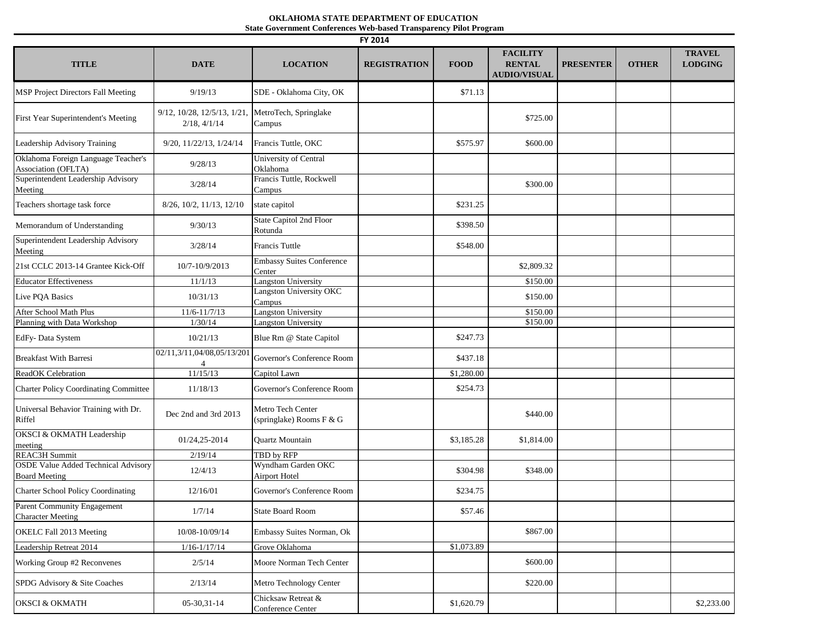## **OKLAHOMA STATE DEPARTMENT OF EDUCATION State Government Conferences Web-based Transparency Pilot Program**

| FY 2014                                                            |                                            |                                               |                     |             |                                                         |                  |              |                                 |
|--------------------------------------------------------------------|--------------------------------------------|-----------------------------------------------|---------------------|-------------|---------------------------------------------------------|------------------|--------------|---------------------------------|
| <b>TITLE</b>                                                       | <b>DATE</b>                                | <b>LOCATION</b>                               | <b>REGISTRATION</b> | <b>FOOD</b> | <b>FACILITY</b><br><b>RENTAL</b><br><b>AUDIO/VISUAL</b> | <b>PRESENTER</b> | <b>OTHER</b> | <b>TRAVEL</b><br><b>LODGING</b> |
| MSP Project Directors Fall Meeting                                 | 9/19/13                                    | SDE - Oklahoma City, OK                       |                     | \$71.13     |                                                         |                  |              |                                 |
| First Year Superintendent's Meeting                                | 9/12, 10/28, 12/5/13, 1/21<br>2/18, 4/1/14 | MetroTech, Springlake<br>Campus               |                     |             | \$725.00                                                |                  |              |                                 |
| Leadership Advisory Training                                       | $9/20$ , $11/22/13$ , $1/24/14$            | Francis Tuttle, OKC                           |                     | \$575.97    | \$600.00                                                |                  |              |                                 |
| Oklahoma Foreign Language Teacher's<br>Association (OFLTA)         | 9/28/13                                    | University of Central<br>Oklahoma             |                     |             |                                                         |                  |              |                                 |
| Superintendent Leadership Advisory<br>Meeting                      | 3/28/14                                    | Francis Tuttle, Rockwell<br>Campus            |                     |             | \$300.00                                                |                  |              |                                 |
| Teachers shortage task force                                       | 8/26, 10/2, 11/13, 12/10                   | state capitol                                 |                     | \$231.25    |                                                         |                  |              |                                 |
| Memorandum of Understanding                                        | 9/30/13                                    | State Capitol 2nd Floor<br>Rotunda            |                     | \$398.50    |                                                         |                  |              |                                 |
| Superintendent Leadership Advisory<br>Meeting                      | 3/28/14                                    | <b>Francis Tuttle</b>                         |                     | \$548.00    |                                                         |                  |              |                                 |
| 21st CCLC 2013-14 Grantee Kick-Off                                 | 10/7-10/9/2013                             | <b>Embassy Suites Conference</b><br>Center    |                     |             | \$2,809.32                                              |                  |              |                                 |
| <b>Educator Effectiveness</b>                                      | 11/1/13                                    | <b>Langston University</b>                    |                     |             | \$150.00                                                |                  |              |                                 |
| Live PQA Basics                                                    | 10/31/13                                   | Langston University OKC<br>Campus             |                     |             | \$150.00                                                |                  |              |                                 |
| After School Math Plus                                             | $11/6 - 11/7/13$                           | <b>Langston University</b>                    |                     |             | \$150.00                                                |                  |              |                                 |
| Planning with Data Workshop                                        | 1/30/14                                    | <b>Langston University</b>                    |                     |             | \$150.00                                                |                  |              |                                 |
| EdFy-Data System                                                   | 10/21/13                                   | Blue Rm @ State Capitol                       |                     | \$247.73    |                                                         |                  |              |                                 |
| <b>Breakfast With Barresi</b>                                      | 02/11,3/11,04/08,05/13/201                 | Governor's Conference Room                    |                     | \$437.18    |                                                         |                  |              |                                 |
| ReadOK Celebration                                                 | 11/15/13                                   | Capitol Lawn                                  |                     | \$1,280.00  |                                                         |                  |              |                                 |
| <b>Charter Policy Coordinating Committee</b>                       | 11/18/13                                   | Governor's Conference Room                    |                     | \$254.73    |                                                         |                  |              |                                 |
| Universal Behavior Training with Dr.<br>Riffel                     | Dec 2nd and 3rd 2013                       | Metro Tech Center<br>(springlake) Rooms F & G |                     |             | \$440.00                                                |                  |              |                                 |
| <b>OKSCI &amp; OKMATH Leadership</b><br>meeting                    | 01/24,25-2014                              | <b>Ouartz Mountain</b>                        |                     | \$3,185.28  | \$1,814.00                                              |                  |              |                                 |
| <b>REAC3H Summit</b>                                               | 2/19/14                                    | TBD by RFP                                    |                     |             |                                                         |                  |              |                                 |
| <b>OSDE Value Added Technical Advisory</b><br><b>Board Meeting</b> | 12/4/13                                    | Wyndham Garden OKC<br><b>Airport Hotel</b>    |                     | \$304.98    | \$348.00                                                |                  |              |                                 |
| <b>Charter School Policy Coordinating</b>                          | 12/16/01                                   | Governor's Conference Room                    |                     | \$234.75    |                                                         |                  |              |                                 |
| Parent Community Engagement<br><b>Character Meeting</b>            | 1/7/14                                     | <b>State Board Room</b>                       |                     | \$57.46     |                                                         |                  |              |                                 |
| OKELC Fall 2013 Meeting                                            | 10/08-10/09/14                             | Embassy Suites Norman, Ok                     |                     |             | \$867.00                                                |                  |              |                                 |
| Leadership Retreat 2014                                            | $1/16 - 1/17/14$                           | Grove Oklahoma                                |                     | \$1,073.89  |                                                         |                  |              |                                 |
| Working Group #2 Reconvenes                                        | 2/5/14                                     | Moore Norman Tech Center                      |                     |             | \$600.00                                                |                  |              |                                 |
| SPDG Advisory & Site Coaches                                       | 2/13/14                                    | Metro Technology Center                       |                     |             | \$220.00                                                |                  |              |                                 |
| <b>OKSCI &amp; OKMATH</b>                                          | 05-30, 31-14                               | Chicksaw Retreat &<br>Conference Center       |                     | \$1,620.79  |                                                         |                  |              | \$2,233.00                      |